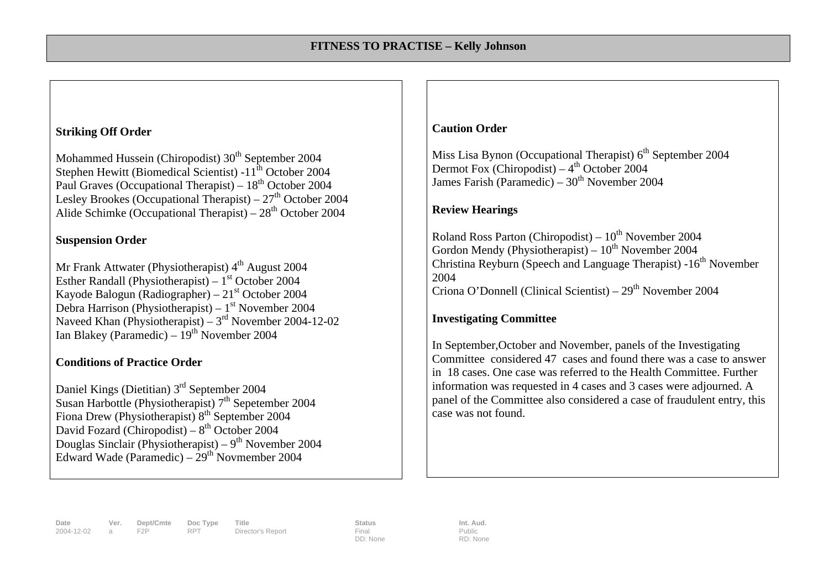#### **Striking Off Order**

Mohammed Hussein (Chiropodist) 30<sup>th</sup> September 2004 Stephen Hewitt (Biomedical Scientist)  $-11^{th}$  October 2004 Paul Graves (Occupational Therapist) –  $18<sup>th</sup>$  October 2004 Lesley Brookes (Occupational Therapist) –  $27<sup>th</sup>$  October 2004 Alide Schimke (Occupational Therapist) –  $28<sup>th</sup>$  October 2004

#### **Suspension Order**

Mr Frank Attwater (Physiotherapist)  $4<sup>th</sup>$  August 2004 Esther Randall (Physiotherapist) –  $1<sup>st</sup>$  October 2004 Kayode Balogun (Radiographer) –  $21<sup>st</sup>$  October 2004 Debra Harrison (Physiotherapist) –  $1<sup>st</sup>$  November 2004 Naveed Khan (Physiotherapist) –  $3<sup>rd</sup>$  November 2004-12-02 Ian Blakey (Paramedic) –  $19<sup>th</sup>$  November 2004

## **Conditions of Practice Order**

Daniel Kings (Dietitian) 3rd September 2004 Susan Harbottle (Physiotherapist) 7<sup>th</sup> Sepetember 2004 Fiona Drew (Physiotherapist)  $8<sup>th</sup>$  September 2004 David Fozard (Chiropodist) –  $8<sup>th</sup>$  October 2004 Douglas Sinclair (Physiotherapist) –  $9<sup>th</sup>$  November 2004 Edward Wade (Paramedic) –  $29<sup>th</sup>$  Novmember 2004

#### **Caution Order**

Miss Lisa Bynon (Occupational Therapist)  $6<sup>th</sup>$  September 2004 Dermot Fox (Chiropodist) –  $4<sup>th</sup>$  October 2004 James Farish (Paramedic) –  $30<sup>th</sup>$  November 2004

## **Review Hearings**

Roland Ross Parton (Chiropodist) –  $10^{th}$  November 2004 Gordon Mendy (Physiotherapist) –  $10^{th}$  November 2004 Christina Reyburn (Speech and Language Therapist) -16<sup>th</sup> November 2004 Criona O'Donnell (Clinical Scientist) – 29<sup>th</sup> November 2004

## **Investigating Committee**

In September,October and November, panels of the Investigating Committee considered 47 cases and found there was a case to answer in 18 cases. One case was referred to the Health Committee. Further information was requested in 4 cases and 3 cases were adjourned. A panel of the Committee also considered a case of fraudulent entry, this case was not found.

**Date Ver. Dept/Cmte Doc Type Title Status Status Int. Aud.**<br> **Doctory RPT Director's Report Final Final Public Public** Director's Report

DD: None

Public RD: None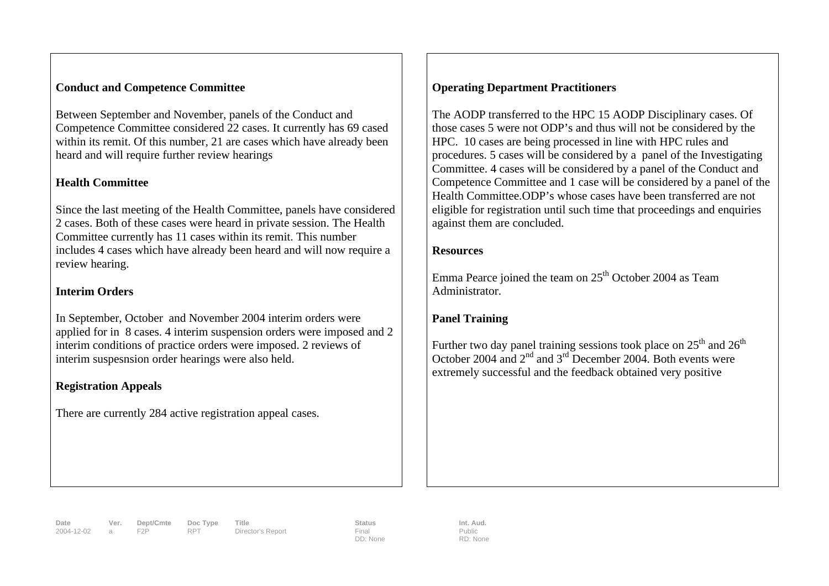#### **Conduct and Competence Committee**

Between September and November, panels of the Conduct and Competence Committee considered 22 cases. It currently has 69 cased within its remit. Of this number, 21 are cases which have already been heard and will require further review hearings

## **Health Committee**

Since the last meeting of the Health Committee, panels have considered 2 cases. Both of these cases were heard in private session. The Health Committee currently has 11 cases within its remit. This number includes 4 cases which have already been heard and will now require a review hearing.

## **Interim Orders**

In September, October and November 2004 interim orders were applied for in 8 cases. 4 interim suspension orders were imposed and 2 interim conditions of practice orders were imposed. 2 reviews of interim suspesnsion order hearings were also held.

# **Registration Appeals**

There are currently 284 active registration appeal cases.

# **Operating Department Practitioners**

The AODP transferred to the HPC 15 AODP Disciplinary cases. Of those cases 5 were not ODP's and thus will not be considered by the HPC. 10 cases are being processed in line with HPC rules and procedures. 5 cases will be considered by a panel of the Investigating Committee. 4 cases will be considered by a panel of the Conduct and Competence Committee and 1 case will be considered by a panel of the Health Committee.ODP's whose cases have been transferred are not eligible for registration until such time that proceedings and enquiries against them are concluded.

## **Resources**

Emma Pearce joined the team on  $25<sup>th</sup>$  October 2004 as Team Administrator.

# **Panel Training**

Further two day panel training sessions took place on  $25<sup>th</sup>$  and  $26<sup>th</sup>$ October 2004 and 2nd and 3rd December 2004. Both events were extremely successful and the feedback obtained very positive

**Date Ver. Dept/Cmte Doc Type Title Status Int. Aud.** 2004-12-02 a F2P RPT Director's Report Final

DD: None

Public RD: None